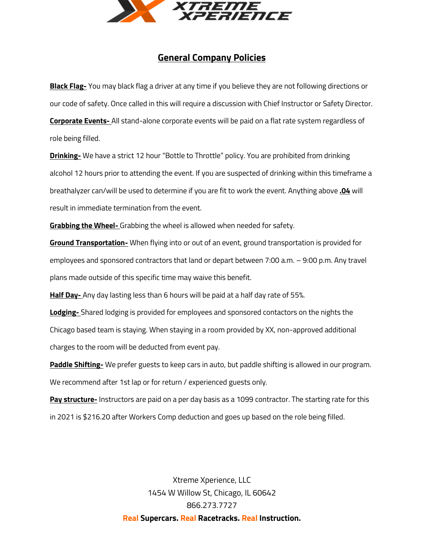

## **General Company Policies**

**Black Flag-** You may black flag a driver at any time if you believe they are not following directions or our code of safety. Once called in this will require a discussion with Chief Instructor or Safety Director. **Corporate Events-** All stand-alone corporate events will be paid on a flat rate system regardless of role being filled.

**Drinking-** We have a strict 12 hour "Bottle to Throttle" policy. You are prohibited from drinking alcohol 12 hours prior to attending the event. If you are suspected of drinking within this timeframe a breathalyzer can/will be used to determine if you are fit to work the event. Anything above **.04** will result in immediate termination from the event.

**Grabbing the Wheel-** Grabbing the wheel is allowed when needed for safety.

**Ground Transportation-** When flying into or out of an event, ground transportation is provided for employees and sponsored contractors that land or depart between 7:00 a.m. – 9:00 p.m. Any travel plans made outside of this specific time may waive this benefit.

**Half Day-** Any day lasting less than 6 hours will be paid at a half day rate of 55%.

**Lodging-** Shared lodging is provided for employees and sponsored contactors on the nights the Chicago based team is staying. When staying in a room provided by XX, non-approved additional charges to the room will be deducted from event pay.

**Paddle Shifting-** We prefer guests to keep cars in auto, but paddle shifting is allowed in our program. We recommend after 1st lap or for return / experienced guests only.

**Pay structure-** Instructors are paid on a per day basis as a 1099 contractor. The starting rate for this in 2021 is \$216.20 after Workers Comp deduction and goes up based on the role being filled.

> Xtreme Xperience, LLC 1454 W Willow St, Chicago, IL 60642 866.273.7727 **Real Supercars. Real Racetracks. Real Instruction.**